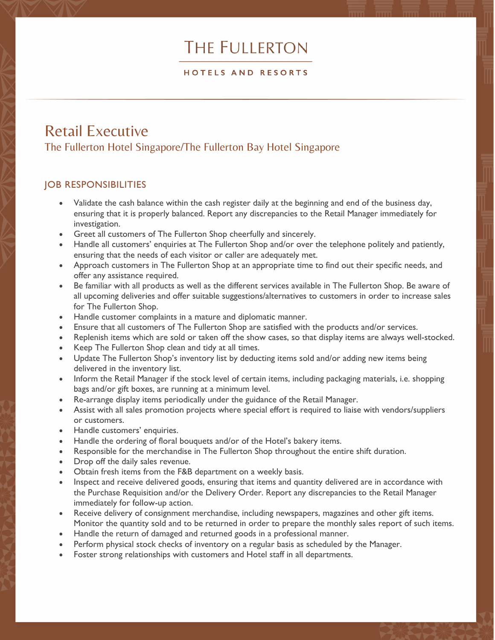# **THE FULLERTON**

#### HOTELS AND RESORTS

## Retail Executive The Fullerton Hotel Singapore/The Fullerton Bay Hotel Singapore

### JOB RESPONSIBILITIES

- Validate the cash balance within the cash register daily at the beginning and end of the business day, ensuring that it is properly balanced. Report any discrepancies to the Retail Manager immediately for investigation.
- Greet all customers of The Fullerton Shop cheerfully and sincerely.
- Handle all customers' enquiries at The Fullerton Shop and/or over the telephone politely and patiently, ensuring that the needs of each visitor or caller are adequately met.
- Approach customers in The Fullerton Shop at an appropriate time to find out their specific needs, and offer any assistance required.
- Be familiar with all products as well as the different services available in The Fullerton Shop. Be aware of all upcoming deliveries and offer suitable suggestions/alternatives to customers in order to increase sales for The Fullerton Shop.
- Handle customer complaints in a mature and diplomatic manner.
- Ensure that all customers of The Fullerton Shop are satisfied with the products and/or services.
- Replenish items which are sold or taken off the show cases, so that display items are always well-stocked.
- Keep The Fullerton Shop clean and tidy at all times.
- Update The Fullerton Shop's inventory list by deducting items sold and/or adding new items being delivered in the inventory list.
- Inform the Retail Manager if the stock level of certain items, including packaging materials, i.e. shopping bags and/or gift boxes, are running at a minimum level.
- Re-arrange display items periodically under the guidance of the Retail Manager.
- Assist with all sales promotion projects where special effort is required to liaise with vendors/suppliers or customers.
- Handle customers' enquiries.
- Handle the ordering of floral bouquets and/or of the Hotel's bakery items.
- Responsible for the merchandise in The Fullerton Shop throughout the entire shift duration.
- Drop off the daily sales revenue.
- Obtain fresh items from the F&B department on a weekly basis.
- Inspect and receive delivered goods, ensuring that items and quantity delivered are in accordance with the Purchase Requisition and/or the Delivery Order. Report any discrepancies to the Retail Manager immediately for follow-up action.
- Receive delivery of consignment merchandise, including newspapers, magazines and other gift items. Monitor the quantity sold and to be returned in order to prepare the monthly sales report of such items.
- Handle the return of damaged and returned goods in a professional manner.
- Perform physical stock checks of inventory on a regular basis as scheduled by the Manager.
- Foster strong relationships with customers and Hotel staff in all departments.